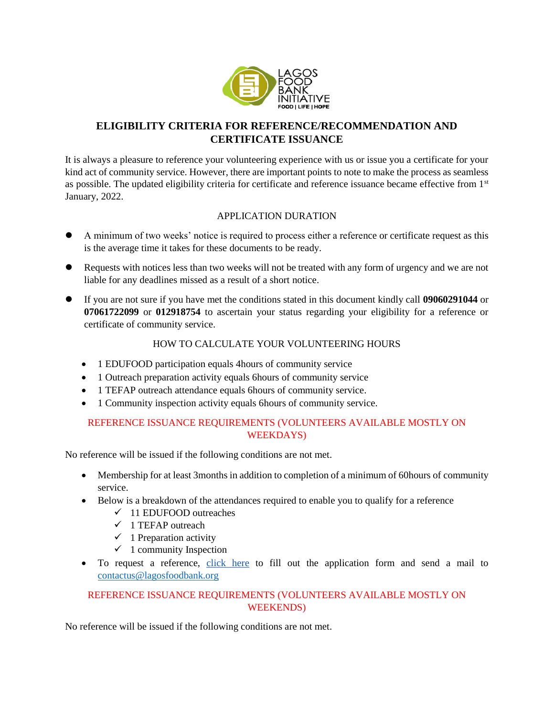

# **ELIGIBILITY CRITERIA FOR REFERENCE/RECOMMENDATION AND CERTIFICATE ISSUANCE**

It is always a pleasure to reference your volunteering experience with us or issue you a certificate for your kind act of community service. However, there are important points to note to make the process as seamless as possible. The updated eligibility criteria for certificate and reference issuance became effective from 1<sup>st</sup> January, 2022.

## APPLICATION DURATION

- ⚫ A minimum of two weeks' notice is required to process either a reference or certificate request as this is the average time it takes for these documents to be ready.
- ⚫ Requests with notices less than two weeks will not be treated with any form of urgency and we are not liable for any deadlines missed as a result of a short notice.
- ⚫ If you are not sure if you have met the conditions stated in this document kindly call **09060291044** or **07061722099** or **012918754** to ascertain your status regarding your eligibility for a reference or certificate of community service.

## HOW TO CALCULATE YOUR VOLUNTEERING HOURS

- 1 EDUFOOD participation equals 4 hours of community service
- 1 Outreach preparation activity equals 6 hours of community service
- 1 TEFAP outreach attendance equals 6hours of community service.
- 1 Community inspection activity equals 6 hours of community service.

## REFERENCE ISSUANCE REQUIREMENTS (VOLUNTEERS AVAILABLE MOSTLY ON WEEKDAYS)

No reference will be issued if the following conditions are not met.

- Membership for at least 3months in addition to completion of a minimum of 60hours of community service.
- Below is a breakdown of the attendances required to enable you to qualify for a reference
	- $\checkmark$  11 EDUFOOD outreaches
	- $\checkmark$  1 TEFAP outreach
	- $\checkmark$  1 Preparation activity
	- $\checkmark$  1 community Inspection
- To request a reference, [click here](https://docs.google.com/forms/d/e/1FAIpQLScBez_8L7GYb8cajjwa7sasWHGnybeUjPNtVxYBPwRLvAIuSA/viewform?usp=sf_link) to fill out the application form and send a mail to [contactus@lagosfoodbank.org](mailto:contactus@lagosfoodbank.org)

## REFERENCE ISSUANCE REQUIREMENTS (VOLUNTEERS AVAILABLE MOSTLY ON WEEKENDS)

No reference will be issued if the following conditions are not met.